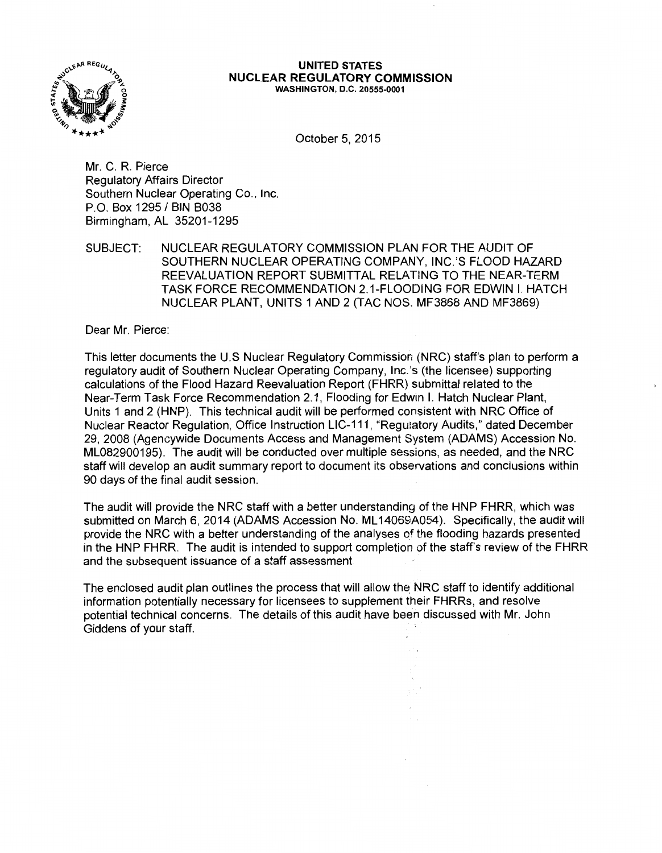

#### **UNITED STATES NUCLEAR REGULATORY COMMISSION**  WASHINGTON, D.C. 20555-0001

October 5, 2015

Mr. C. R. Pierce Regulatory Affairs Director Southern Nuclear Operating Co., Inc. P.O. Box 1295 / BIN B038 Birmingham, AL 35201-1295

SUBJECT: NUCLEAR REGULATORY COMMISSION PLAN FOR THE AUDIT OF SOUTHERN NUCLEAR OPERATING COMPANY, INC.'S FLOOD HAZARD REEVALUATION REPORT SUBMITTAL RELATING TO THE NEAR-TERM TASK FORCE RECOMMENDATION 2.1-FLOODING FOR EDWIN I. HATCH NUCLEAR PLANT, UNITS 1 AND 2 (TAC NOS. MF3868 AND MF3869)

Dear Mr. Pierce:

This letter documents the U.S Nuclear Regulatory Commission (NRC) staff's plan to perform a regulatory audit of Southern Nuclear Operating Company, lnc.'s (the licensee) supporting calculations of the Flood Hazard Reevaluation Report (FHRR) submittal related to the Near-Term Task Force Recommendation 2.1, Flooding for Edwin I. Hatch Nuclear Plant, Units 1 and 2 (HNP). This technical audit will be performed consistent with NRC Office of Nuclear Reactor Regulation, Office Instruction LIC-111, "Regulatory Audits," dated December 29, 2008 (Agencywide Documents Access and Management System (ADAMS) Accession No. ML082900195). The audit will be conducted over multiple sessions, as needed, and the NRC staff will develop an audit summary report to document its observations and conclusions within 90 days of the final audit session.

The audit will provide the NRC staff with a better understanding of the HNP FHRR, which was submitted on March 6, 2014 (ADAMS Accession No. ML14069A054). Specifically, the audit will provide the NRC with a better understanding of the analyses of the flooding hazards presented in the HNP FHRR. The audit is intended to support completion of the staff's review of the FHRR and the subsequent issuance of a staff assessment

The enclosed audit plan outlines the process that will allow the NRC staff to identify additional information potentially necessary for licensees to supplement their FHRRs, and resolve potential technical concerns. The details of this audit have been discussed with Mr. John Giddens of your staff.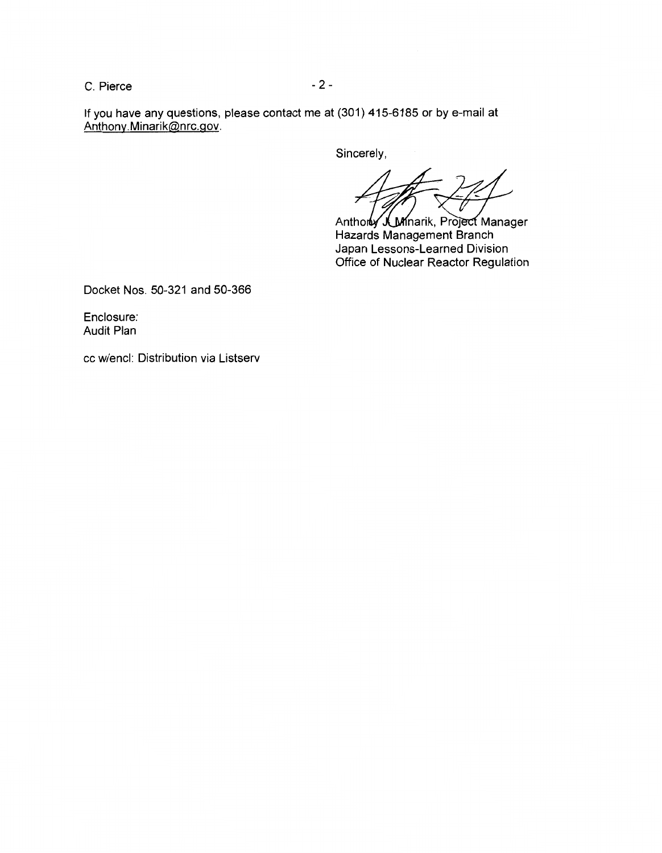$C.$  Pierce  $-2$  -

If you have any questions, please contact me at (301) 415-6185 or by e-mail at Anthony.Minarik@nrc.gov.

Sincerely,

Anthoruy J. Minarik, Project Manager Hazards Management Branch Japan Lessons-Learned Division Office of Nuclear Reactor Regulation

Docket Nos. 50-321 and 50-366

Enclosure: Audit Plan

cc w/encl: Distribution via Listserv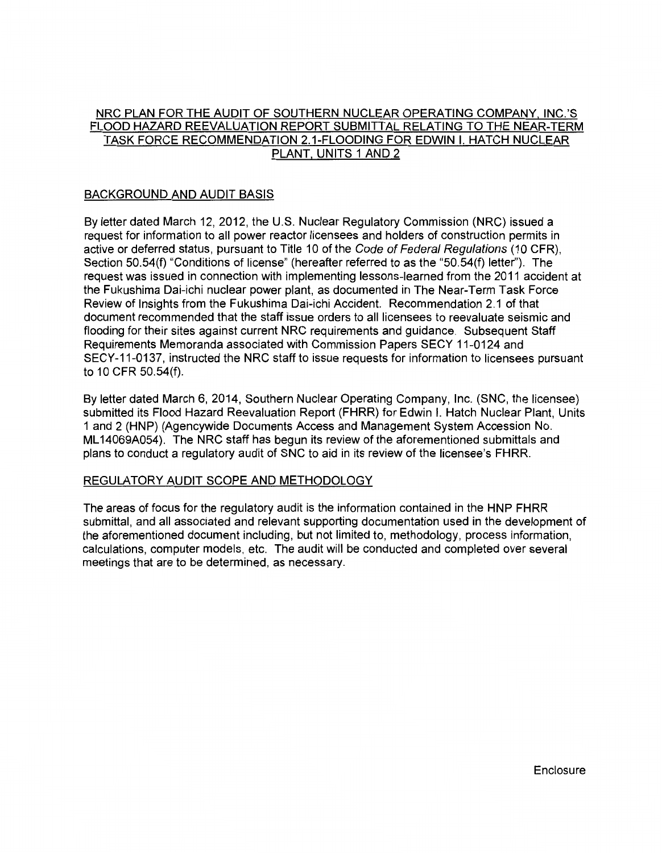# NRC PLAN FOR THE AUDIT OF SOUTHERN NUCLEAR OPERATING COMPANY. INC.'S FLOOD HAZARD REEVALUATION REPORT SUBMITTAL RELATING TO THE NEAR-TERM TASK FORCE RECOMMENDATION 2.1-FLOODING FOR EDWIN I. HATCH NUCLEAR PLANT. UNITS 1 AND 2

## BACKGROUND AND AUDIT BASIS

By letter dated March 12, 2012, the U.S. Nuclear Regulatory Commission (NRC) issued a request for information to all power reactor licensees and holders of construction permits in active or deferred status, pursuant to Title 10 of the Code of Federal Regulations (10 CFR), Section 50.54(f) "Conditions of license" (hereafter referred to as the "50.54(f) letter''). The request was issued in connection with implementing lessons-learned from the 2011 accident at the Fukushima Dai-ichi nuclear power plant, as documented in The Near-Term Task Force Review of Insights from the Fukushima Dai-ichi Accident. Recommendation 2.1 of that document recommended that the staff issue orders to all licensees to reevaluate seismic and flooding for their sites against current NRC requirements and guidance. Subsequent Staff Requirements Memoranda associated with Commission Papers SECY 11-0124 and SECY-11-0137, instructed the NRC staff to issue requests for information to licensees pursuant to 10 CFR 50.54(f).

By letter dated March 6, 2014, Southern Nuclear Operating Company, Inc. (SNC, the licensee) submitted its Flood Hazard Reevaluation Report (FHRR) for Edwin I. Hatch Nuclear Plant, Units 1 and 2 (HNP) (Agencywide Documents Access and Management System Accession No. ML 14069A054). The NRC staff has begun its review of the aforementioned submittals and plans to conduct a regulatory audit of SNC to aid in its review of the licensee's FHRR.

# REGULATORY AUDIT SCOPE AND METHODOLOGY

The areas of focus for the regulatory audit is the information contained in the HNP FHRR submittal, and all associated and relevant supporting documentation used in the development of the aforementioned document including, but not limited to, methodology, process information, calculations, computer models, etc. The audit will be conducted and completed over several meetings that are to be determined, as necessary.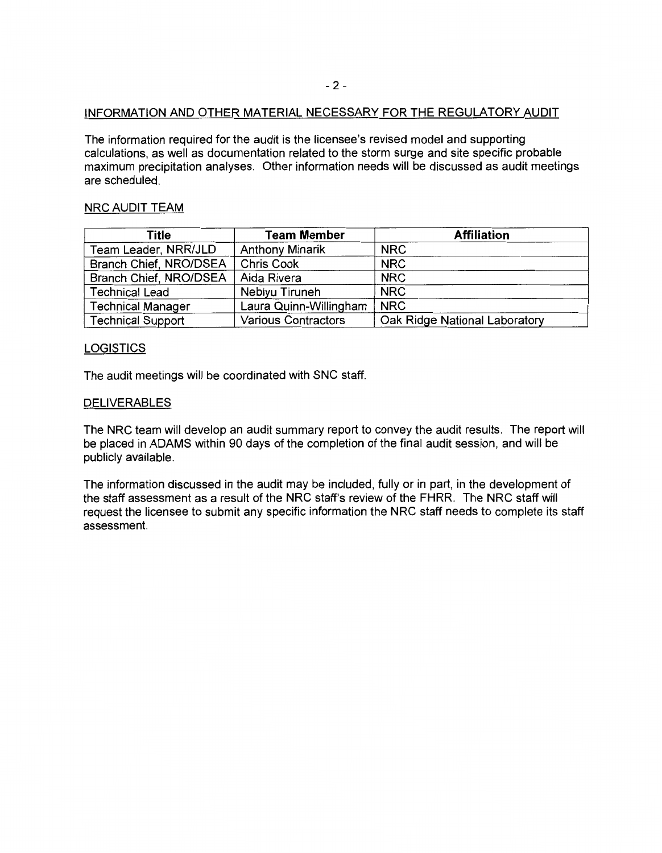### INFORMATION AND OTHER MATERIAL NECESSARY FOR THE REGULATORY AUDIT

The information required for the audit is the licensee's revised model and supporting calculations, as well as documentation related to the storm surge and site specific probable maximum precipitation analyses. Other information needs will be discussed as audit meetings are scheduled.

## NRC AUDIT TEAM

| Title                    | <b>Team Member</b>         | <b>Affiliation</b>            |  |
|--------------------------|----------------------------|-------------------------------|--|
| Team Leader, NRR/JLD     | <b>Anthony Minarik</b>     | <b>NRC</b>                    |  |
| Branch Chief, NRO/DSEA   | <b>Chris Cook</b>          | <b>NRC</b>                    |  |
| Branch Chief, NRO/DSEA   | Aida Rivera                | <b>NRC</b>                    |  |
| <b>Technical Lead</b>    | Nebiyu Tiruneh             | <b>NRC</b>                    |  |
| <b>Technical Manager</b> | Laura Quinn-Willingham     | $'$ NRC                       |  |
| <b>Technical Support</b> | <b>Various Contractors</b> | Oak Ridge National Laboratory |  |

### **LOGISTICS**

The audit meetings will be coordinated with SNC staff.

## **DELIVERABLES**

The NRC team will develop an audit summary report to convey the audit results. The report will be placed in ADAMS within 90 days of the completion of the final audit session, and will be publicly available.

The information discussed in the audit may be included, fully or in part, in the development of the staff assessment as a result of the NRC staff's review of the FHRR. The NRC staff will request the licensee to submit any specific information the NRC staff needs to complete its staff assessment.